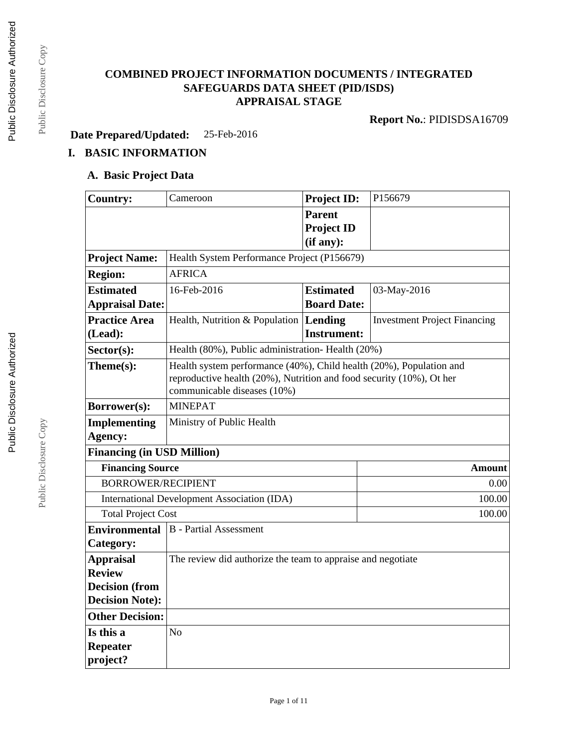## **COMBINED PROJECT INFORMATION DOCUMENTS / INTEGRATED SAFEGUARDS DATA SHEET (PID/ISDS) APPRAISAL STAGE**

**Report No.**: PIDISDSA16709

**Date Prepared/Updated:** 25-Feb-2016

# **I. BASIC INFORMATION**

#### **A. Basic Project Data**

| <b>Country:</b>                   | Cameroon                                                             | <b>Project ID:</b>              | P156679                             |  |  |
|-----------------------------------|----------------------------------------------------------------------|---------------------------------|-------------------------------------|--|--|
|                                   |                                                                      | <b>Parent</b>                   |                                     |  |  |
|                                   |                                                                      | <b>Project ID</b>               |                                     |  |  |
|                                   |                                                                      | (if any):                       |                                     |  |  |
| <b>Project Name:</b>              | Health System Performance Project (P156679)                          |                                 |                                     |  |  |
| <b>Region:</b>                    | <b>AFRICA</b>                                                        |                                 |                                     |  |  |
| <b>Estimated</b>                  | 16-Feb-2016                                                          | 03-May-2016<br><b>Estimated</b> |                                     |  |  |
| <b>Appraisal Date:</b>            |                                                                      | <b>Board Date:</b>              |                                     |  |  |
| <b>Practice Area</b>              | Health, Nutrition & Population $ $ <b>Lending</b>                    |                                 | <b>Investment Project Financing</b> |  |  |
| (Lead):                           |                                                                      | <b>Instrument:</b>              |                                     |  |  |
| $Sector(s)$ :                     | Health (80%), Public administration- Health (20%)                    |                                 |                                     |  |  |
| Theme(s):                         | Health system performance (40%), Child health (20%), Population and  |                                 |                                     |  |  |
|                                   | reproductive health (20%), Nutrition and food security (10%), Ot her |                                 |                                     |  |  |
|                                   | communicable diseases (10%)                                          |                                 |                                     |  |  |
| Borrower(s):                      | <b>MINEPAT</b>                                                       |                                 |                                     |  |  |
| <b>Implementing</b>               | Ministry of Public Health                                            |                                 |                                     |  |  |
| Agency:                           |                                                                      |                                 |                                     |  |  |
| <b>Financing (in USD Million)</b> |                                                                      |                                 |                                     |  |  |
|                                   | <b>Financing Source</b><br><b>Amount</b>                             |                                 |                                     |  |  |
| <b>BORROWER/RECIPIENT</b>         |                                                                      |                                 | 0.00                                |  |  |
|                                   | <b>International Development Association (IDA)</b>                   |                                 | 100.00                              |  |  |
|                                   | <b>Total Project Cost</b><br>100.00                                  |                                 |                                     |  |  |
| <b>Environmental</b>              | <b>B</b> - Partial Assessment                                        |                                 |                                     |  |  |
| Category:                         |                                                                      |                                 |                                     |  |  |
| <b>Appraisal</b>                  | The review did authorize the team to appraise and negotiate          |                                 |                                     |  |  |
| <b>Review</b>                     |                                                                      |                                 |                                     |  |  |
| <b>Decision</b> (from             |                                                                      |                                 |                                     |  |  |
| <b>Decision Note:</b>             |                                                                      |                                 |                                     |  |  |
| <b>Other Decision:</b>            |                                                                      |                                 |                                     |  |  |
| Is this a                         | N <sub>o</sub>                                                       |                                 |                                     |  |  |
| <b>Repeater</b>                   |                                                                      |                                 |                                     |  |  |
| project?                          |                                                                      |                                 |                                     |  |  |

Public Disclosure Copy

Public Disclosure Copy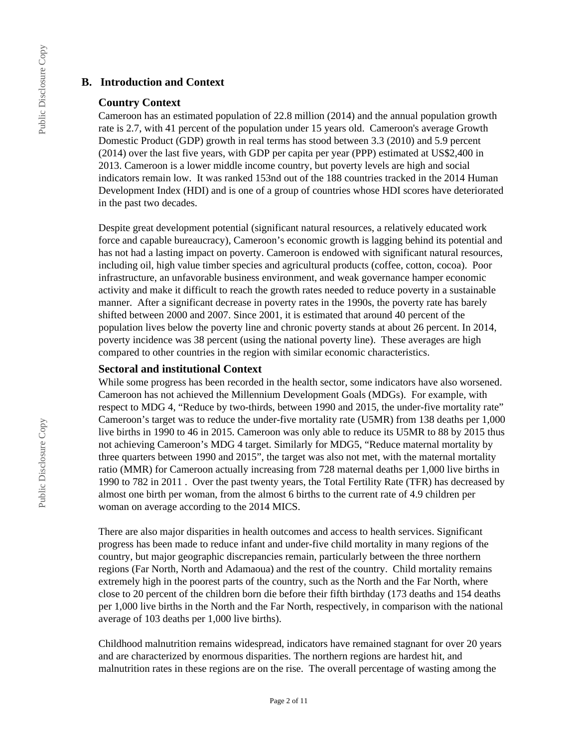#### **B. Introduction and Context**

#### **Country Context**

Cameroon has an estimated population of 22.8 million (2014) and the annual population growth rate is 2.7, with 41 percent of the population under 15 years old. Cameroon's average Growth Domestic Product (GDP) growth in real terms has stood between 3.3 (2010) and 5.9 percent (2014) over the last five years, with GDP per capita per year (PPP) estimated at US\$2,400 in 2013. Cameroon is a lower middle income country, but poverty levels are high and social indicators remain low. It was ranked 153nd out of the 188 countries tracked in the 2014 Human Development Index (HDI) and is one of a group of countries whose HDI scores have deteriorated in the past two decades.

Despite great development potential (significant natural resources, a relatively educated work force and capable bureaucracy), Cameroon's economic growth is lagging behind its potential and has not had a lasting impact on poverty. Cameroon is endowed with significant natural resources, including oil, high value timber species and agricultural products (coffee, cotton, cocoa). Poor infrastructure, an unfavorable business environment, and weak governance hamper economic activity and make it difficult to reach the growth rates needed to reduce poverty in a sustainable manner. After a significant decrease in poverty rates in the 1990s, the poverty rate has barely shifted between 2000 and 2007. Since 2001, it is estimated that around 40 percent of the population lives below the poverty line and chronic poverty stands at about 26 percent. In 2014, poverty incidence was 38 percent (using the national poverty line). These averages are high compared to other countries in the region with similar economic characteristics.

#### **Sectoral and institutional Context**

While some progress has been recorded in the health sector, some indicators have also worsened. Cameroon has not achieved the Millennium Development Goals (MDGs). For example, with respect to MDG 4, "Reduce by two-thirds, between 1990 and 2015, the under-five mortality rate" Cameroon's target was to reduce the under-five mortality rate (U5MR) from 138 deaths per 1,000 live births in 1990 to 46 in 2015. Cameroon was only able to reduce its U5MR to 88 by 2015 thus not achieving Cameroon's MDG 4 target. Similarly for MDG5, "Reduce maternal mortality by three quarters between 1990 and 2015", the target was also not met, with the maternal mortality ratio (MMR) for Cameroon actually increasing from 728 maternal deaths per 1,000 live births in 1990 to 782 in 2011 . Over the past twenty years, the Total Fertility Rate (TFR) has decreased by almost one birth per woman, from the almost 6 births to the current rate of 4.9 children per woman on average according to the 2014 MICS.

There are also major disparities in health outcomes and access to health services. Significant progress has been made to reduce infant and under-five child mortality in many regions of the country, but major geographic discrepancies remain, particularly between the three northern regions (Far North, North and Adamaoua) and the rest of the country. Child mortality remains extremely high in the poorest parts of the country, such as the North and the Far North, where close to 20 percent of the children born die before their fifth birthday (173 deaths and 154 deaths per 1,000 live births in the North and the Far North, respectively, in comparison with the national average of 103 deaths per 1,000 live births).

Childhood malnutrition remains widespread, indicators have remained stagnant for over 20 years and are characterized by enormous disparities. The northern regions are hardest hit, and malnutrition rates in these regions are on the rise. The overall percentage of wasting among the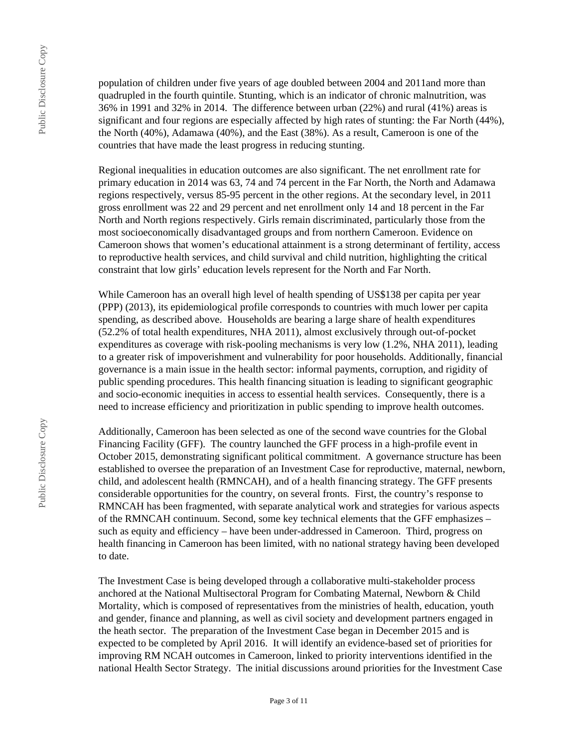population of children under five years of age doubled between 2004 and 2011and more than quadrupled in the fourth quintile. Stunting, which is an indicator of chronic malnutrition, was 36% in 1991 and 32% in 2014. The difference between urban (22%) and rural (41%) areas is significant and four regions are especially affected by high rates of stunting: the Far North (44%), the North (40%), Adamawa (40%), and the East (38%). As a result, Cameroon is one of the countries that have made the least progress in reducing stunting.

Regional inequalities in education outcomes are also significant. The net enrollment rate for primary education in 2014 was 63, 74 and 74 percent in the Far North, the North and Adamawa regions respectively, versus 85-95 percent in the other regions. At the secondary level, in 2011 gross enrollment was 22 and 29 percent and net enrollment only 14 and 18 percent in the Far North and North regions respectively. Girls remain discriminated, particularly those from the most socioeconomically disadvantaged groups and from northern Cameroon. Evidence on Cameroon shows that women's educational attainment is a strong determinant of fertility, access to reproductive health services, and child survival and child nutrition, highlighting the critical constraint that low girls' education levels represent for the North and Far North.

While Cameroon has an overall high level of health spending of US\$138 per capita per year (PPP) (2013), its epidemiological profile corresponds to countries with much lower per capita spending, as described above. Households are bearing a large share of health expenditures (52.2% of total health expenditures, NHA 2011), almost exclusively through out-of-pocket expenditures as coverage with risk-pooling mechanisms is very low (1.2%, NHA 2011), leading to a greater risk of impoverishment and vulnerability for poor households. Additionally, financial governance is a main issue in the health sector: informal payments, corruption, and rigidity of public spending procedures. This health financing situation is leading to significant geographic and socio-economic inequities in access to essential health services. Consequently, there is a need to increase efficiency and prioritization in public spending to improve health outcomes.

Additionally, Cameroon has been selected as one of the second wave countries for the Global Financing Facility (GFF). The country launched the GFF process in a high-profile event in October 2015, demonstrating significant political commitment. A governance structure has been established to oversee the preparation of an Investment Case for reproductive, maternal, newborn, child, and adolescent health (RMNCAH), and of a health financing strategy. The GFF presents considerable opportunities for the country, on several fronts. First, the country's response to RMNCAH has been fragmented, with separate analytical work and strategies for various aspects of the RMNCAH continuum. Second, some key technical elements that the GFF emphasizes – such as equity and efficiency – have been under-addressed in Cameroon. Third, progress on health financing in Cameroon has been limited, with no national strategy having been developed to date.

The Investment Case is being developed through a collaborative multi-stakeholder process anchored at the National Multisectoral Program for Combating Maternal, Newborn & Child Mortality, which is composed of representatives from the ministries of health, education, youth and gender, finance and planning, as well as civil society and development partners engaged in the heath sector. The preparation of the Investment Case began in December 2015 and is expected to be completed by April 2016. It will identify an evidence-based set of priorities for improving RM NCAH outcomes in Cameroon, linked to priority interventions identified in the national Health Sector Strategy. The initial discussions around priorities for the Investment Case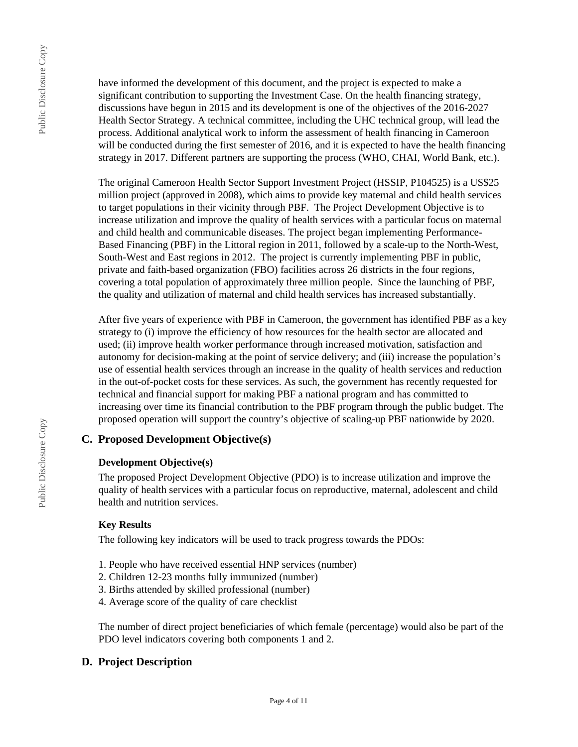have informed the development of this document, and the project is expected to make a significant contribution to supporting the Investment Case. On the health financing strategy, discussions have begun in 2015 and its development is one of the objectives of the 2016-2027 Health Sector Strategy. A technical committee, including the UHC technical group, will lead the process. Additional analytical work to inform the assessment of health financing in Cameroon will be conducted during the first semester of 2016, and it is expected to have the health financing strategy in 2017. Different partners are supporting the process (WHO, CHAI, World Bank, etc.).

The original Cameroon Health Sector Support Investment Project (HSSIP, P104525) is a US\$25 million project (approved in 2008), which aims to provide key maternal and child health services to target populations in their vicinity through PBF. The Project Development Objective is to increase utilization and improve the quality of health services with a particular focus on maternal and child health and communicable diseases. The project began implementing Performance-Based Financing (PBF) in the Littoral region in 2011, followed by a scale-up to the North-West, South-West and East regions in 2012. The project is currently implementing PBF in public, private and faith-based organization (FBO) facilities across 26 districts in the four regions, covering a total population of approximately three million people. Since the launching of PBF, the quality and utilization of maternal and child health services has increased substantially.

After five years of experience with PBF in Cameroon, the government has identified PBF as a key strategy to (i) improve the efficiency of how resources for the health sector are allocated and used; (ii) improve health worker performance through increased motivation, satisfaction and autonomy for decision-making at the point of service delivery; and (iii) increase the population's use of essential health services through an increase in the quality of health services and reduction in the out-of-pocket costs for these services. As such, the government has recently requested for technical and financial support for making PBF a national program and has committed to increasing over time its financial contribution to the PBF program through the public budget. The proposed operation will support the country's objective of scaling-up PBF nationwide by 2020.

## **C. Proposed Development Objective(s)**

#### **Development Objective(s)**

The proposed Project Development Objective (PDO) is to increase utilization and improve the quality of health services with a particular focus on reproductive, maternal, adolescent and child health and nutrition services.

#### **Key Results**

The following key indicators will be used to track progress towards the PDOs:

- 1. People who have received essential HNP services (number)
- 2. Children 12-23 months fully immunized (number)
- 3. Births attended by skilled professional (number)
- 4. Average score of the quality of care checklist

The number of direct project beneficiaries of which female (percentage) would also be part of the PDO level indicators covering both components 1 and 2.

## **D. Project Description**

Public Disclosure Copy

Public Disclosure Copy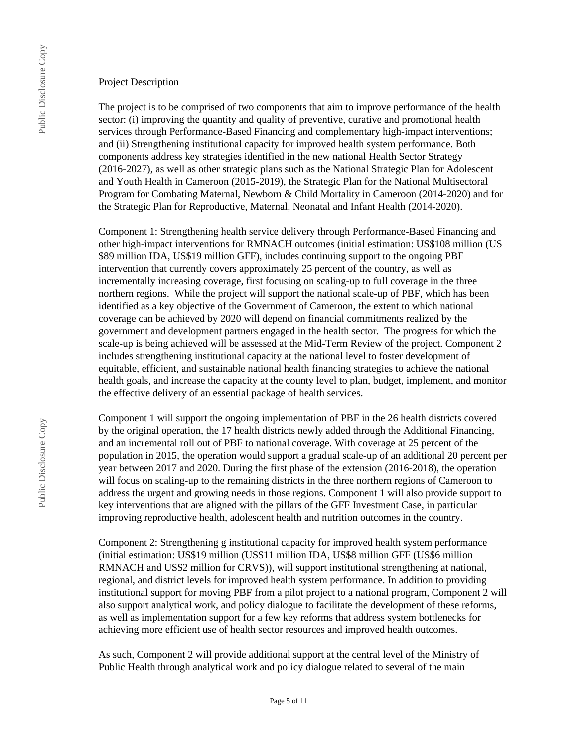#### Project Description

The project is to be comprised of two components that aim to improve performance of the health sector: (i) improving the quantity and quality of preventive, curative and promotional health services through Performance-Based Financing and complementary high-impact interventions; and (ii) Strengthening institutional capacity for improved health system performance. Both components address key strategies identified in the new national Health Sector Strategy (2016-2027), as well as other strategic plans such as the National Strategic Plan for Adolescent and Youth Health in Cameroon (2015-2019), the Strategic Plan for the National Multisectoral Program for Combating Maternal, Newborn & Child Mortality in Cameroon (2014-2020) and for the Strategic Plan for Reproductive, Maternal, Neonatal and Infant Health (2014-2020).

Component 1: Strengthening health service delivery through Performance-Based Financing and other high-impact interventions for RMNACH outcomes (initial estimation: US\$108 million (US \$89 million IDA, US\$19 million GFF), includes continuing support to the ongoing PBF intervention that currently covers approximately 25 percent of the country, as well as incrementally increasing coverage, first focusing on scaling-up to full coverage in the three northern regions. While the project will support the national scale-up of PBF, which has been identified as a key objective of the Government of Cameroon, the extent to which national coverage can be achieved by 2020 will depend on financial commitments realized by the government and development partners engaged in the health sector. The progress for which the scale-up is being achieved will be assessed at the Mid-Term Review of the project. Component 2 includes strengthening institutional capacity at the national level to foster development of equitable, efficient, and sustainable national health financing strategies to achieve the national health goals, and increase the capacity at the county level to plan, budget, implement, and monitor the effective delivery of an essential package of health services.

Component 1 will support the ongoing implementation of PBF in the 26 health districts covered by the original operation, the 17 health districts newly added through the Additional Financing, and an incremental roll out of PBF to national coverage. With coverage at 25 percent of the population in 2015, the operation would support a gradual scale-up of an additional 20 percent per year between 2017 and 2020. During the first phase of the extension (2016-2018), the operation will focus on scaling-up to the remaining districts in the three northern regions of Cameroon to address the urgent and growing needs in those regions. Component 1 will also provide support to key interventions that are aligned with the pillars of the GFF Investment Case, in particular improving reproductive health, adolescent health and nutrition outcomes in the country.

Component 2: Strengthening g institutional capacity for improved health system performance (initial estimation: US\$19 million (US\$11 million IDA, US\$8 million GFF (US\$6 million RMNACH and US\$2 million for CRVS)), will support institutional strengthening at national, regional, and district levels for improved health system performance. In addition to providing institutional support for moving PBF from a pilot project to a national program, Component 2 will also support analytical work, and policy dialogue to facilitate the development of these reforms, as well as implementation support for a few key reforms that address system bottlenecks for achieving more efficient use of health sector resources and improved health outcomes.

As such, Component 2 will provide additional support at the central level of the Ministry of Public Health through analytical work and policy dialogue related to several of the main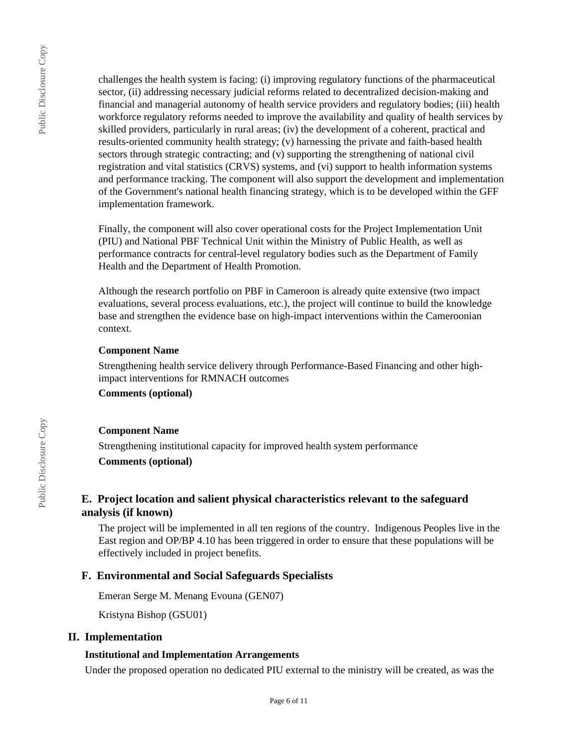challenges the health system is facing: (i) improving regulatory functions of the pharmaceutical sector, (ii) addressing necessary judicial reforms related to decentralized decision-making and financial and managerial autonomy of health service providers and regulatory bodies; (iii) health workforce regulatory reforms needed to improve the availability and quality of health services by skilled providers, particularly in rural areas; (iv) the development of a coherent, practical and results-oriented community health strategy; (v) harnessing the private and faith-based health sectors through strategic contracting; and (v) supporting the strengthening of national civil registration and vital statistics (CRVS) systems, and (vi) support to health information systems and performance tracking. The component will also support the development and implementation of the Government's national health financing strategy, which is to be developed within the GFF implementation framework.

Finally, the component will also cover operational costs for the Project Implementation Unit (PIU) and National PBF Technical Unit within the Ministry of Public Health, as well as performance contracts for central-level regulatory bodies such as the Department of Family Health and the Department of Health Promotion.

Although the research portfolio on PBF in Cameroon is already quite extensive (two impact evaluations, several process evaluations, etc.), the project will continue to build the knowledge base and strengthen the evidence base on high-impact interventions within the Cameroonian context.

#### **Component Name**

Strengthening health service delivery through Performance-Based Financing and other highimpact interventions for RMNACH outcomes

**Comments (optional)**

**Component Name**

Strengthening institutional capacity for improved health system performance

**Comments (optional)**

## **E. Project location and salient physical characteristics relevant to the safeguard analysis (if known)**

The project will be implemented in all ten regions of the country. Indigenous Peoples live in the East region and OP/BP 4.10 has been triggered in order to ensure that these populations will be effectively included in project benefits.

#### **F. Environmental and Social Safeguards Specialists**

Emeran Serge M. Menang Evouna (GEN07)

Kristyna Bishop (GSU01)

#### **II. Implementation**

#### **Institutional and Implementation Arrangements**

Under the proposed operation no dedicated PIU external to the ministry will be created, as was the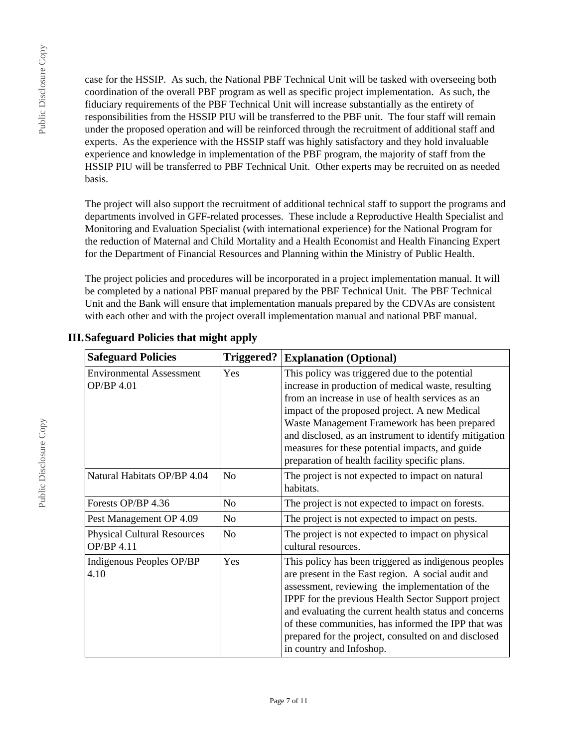Public Disclosure Copy

Public Disclosure Copy

case for the HSSIP. As such, the National PBF Technical Unit will be tasked with overseeing both coordination of the overall PBF program as well as specific project implementation. As such, the fiduciary requirements of the PBF Technical Unit will increase substantially as the entirety of responsibilities from the HSSIP PIU will be transferred to the PBF unit. The four staff will remain under the proposed operation and will be reinforced through the recruitment of additional staff and experts. As the experience with the HSSIP staff was highly satisfactory and they hold invaluable experience and knowledge in implementation of the PBF program, the majority of staff from the HSSIP PIU will be transferred to PBF Technical Unit. Other experts may be recruited on as needed basis.

The project will also support the recruitment of additional technical staff to support the programs and departments involved in GFF-related processes. These include a Reproductive Health Specialist and Monitoring and Evaluation Specialist (with international experience) for the National Program for the reduction of Maternal and Child Mortality and a Health Economist and Health Financing Expert for the Department of Financial Resources and Planning within the Ministry of Public Health.

The project policies and procedures will be incorporated in a project implementation manual. It will be completed by a national PBF manual prepared by the PBF Technical Unit. The PBF Technical Unit and the Bank will ensure that implementation manuals prepared by the CDVAs are consistent with each other and with the project overall implementation manual and national PBF manual.

| <b>Safeguard Policies</b>                            | <b>Triggered?</b> | <b>Explanation (Optional)</b>                                                                                                                                                                                                                                                                                                                                                                                                   |
|------------------------------------------------------|-------------------|---------------------------------------------------------------------------------------------------------------------------------------------------------------------------------------------------------------------------------------------------------------------------------------------------------------------------------------------------------------------------------------------------------------------------------|
| <b>Environmental Assessment</b><br><b>OP/BP 4.01</b> | Yes               | This policy was triggered due to the potential<br>increase in production of medical waste, resulting<br>from an increase in use of health services as an<br>impact of the proposed project. A new Medical<br>Waste Management Framework has been prepared<br>and disclosed, as an instrument to identify mitigation<br>measures for these potential impacts, and guide<br>preparation of health facility specific plans.        |
| Natural Habitats OP/BP 4.04                          | N <sub>o</sub>    | The project is not expected to impact on natural<br>habitats.                                                                                                                                                                                                                                                                                                                                                                   |
| Forests OP/BP 4.36                                   | No.               | The project is not expected to impact on forests.                                                                                                                                                                                                                                                                                                                                                                               |
| Pest Management OP 4.09                              | N <sub>o</sub>    | The project is not expected to impact on pests.                                                                                                                                                                                                                                                                                                                                                                                 |
| <b>Physical Cultural Resources</b><br>OP/BP 4.11     | N <sub>o</sub>    | The project is not expected to impact on physical<br>cultural resources.                                                                                                                                                                                                                                                                                                                                                        |
| Indigenous Peoples OP/BP<br>4.10                     | Yes               | This policy has been triggered as indigenous peoples<br>are present in the East region. A social audit and<br>assessment, reviewing the implementation of the<br><b>IPPF</b> for the previous Health Sector Support project<br>and evaluating the current health status and concerns<br>of these communities, has informed the IPP that was<br>prepared for the project, consulted on and disclosed<br>in country and Infoshop. |

# **III.Safeguard Policies that might apply**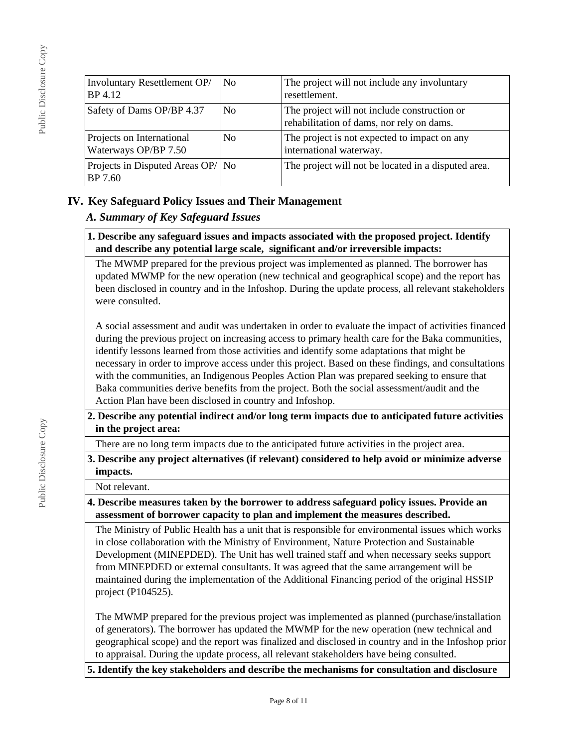| Involuntary Resettlement OP/<br>BP 4.12           | No.            | The project will not include any involuntary<br>resettlement.                             |
|---------------------------------------------------|----------------|-------------------------------------------------------------------------------------------|
| Safety of Dams OP/BP 4.37                         | N <sub>0</sub> | The project will not include construction or<br>rehabilitation of dams, nor rely on dams. |
| Projects on International<br>Waterways OP/BP 7.50 | N <sub>0</sub> | The project is not expected to impact on any<br>international waterway.                   |
| Projects in Disputed Areas OP/   No<br>BP 7.60    |                | The project will not be located in a disputed area.                                       |

## **IV. Key Safeguard Policy Issues and Their Management**

## *A. Summary of Key Safeguard Issues*

#### **1. Describe any safeguard issues and impacts associated with the proposed project. Identify and describe any potential large scale, significant and/or irreversible impacts:**

The MWMP prepared for the previous project was implemented as planned. The borrower has updated MWMP for the new operation (new technical and geographical scope) and the report has been disclosed in country and in the Infoshop. During the update process, all relevant stakeholders were consulted.

A social assessment and audit was undertaken in order to evaluate the impact of activities financed during the previous project on increasing access to primary health care for the Baka communities, identify lessons learned from those activities and identify some adaptations that might be necessary in order to improve access under this project. Based on these findings, and consultations with the communities, an Indigenous Peoples Action Plan was prepared seeking to ensure that Baka communities derive benefits from the project. Both the social assessment/audit and the Action Plan have been disclosed in country and Infoshop.

#### **2. Describe any potential indirect and/or long term impacts due to anticipated future activities in the project area:**

There are no long term impacts due to the anticipated future activities in the project area.

## **3. Describe any project alternatives (if relevant) considered to help avoid or minimize adverse impacts.**

Not relevant.

## **4. Describe measures taken by the borrower to address safeguard policy issues. Provide an assessment of borrower capacity to plan and implement the measures described.**

The Ministry of Public Health has a unit that is responsible for environmental issues which works in close collaboration with the Ministry of Environment, Nature Protection and Sustainable Development (MINEPDED). The Unit has well trained staff and when necessary seeks support from MINEPDED or external consultants. It was agreed that the same arrangement will be maintained during the implementation of the Additional Financing period of the original HSSIP project (P104525).

The MWMP prepared for the previous project was implemented as planned (purchase/installation of generators). The borrower has updated the MWMP for the new operation (new technical and geographical scope) and the report was finalized and disclosed in country and in the Infoshop prior to appraisal. During the update process, all relevant stakeholders have being consulted.

## **5. Identify the key stakeholders and describe the mechanisms for consultation and disclosure**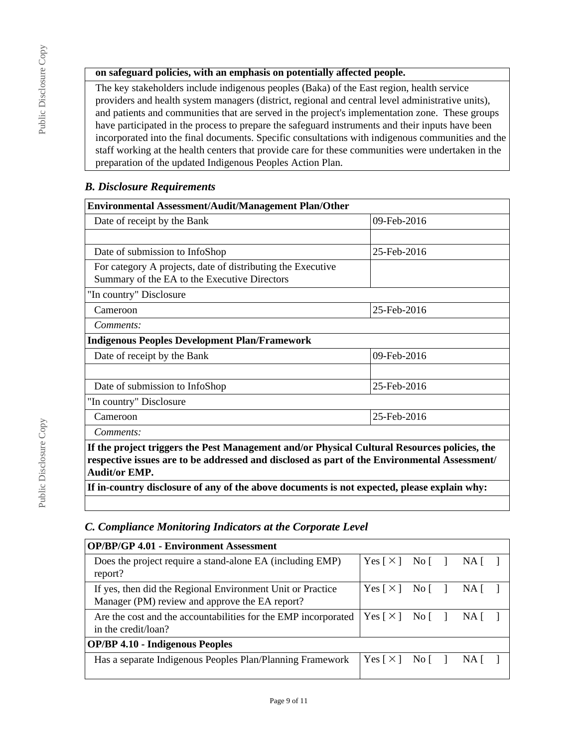## **on safeguard policies, with an emphasis on potentially affected people.**

The key stakeholders include indigenous peoples (Baka) of the East region, health service providers and health system managers (district, regional and central level administrative units), and patients and communities that are served in the project's implementation zone. These groups have participated in the process to prepare the safeguard instruments and their inputs have been incorporated into the final documents. Specific consultations with indigenous communities and the staff working at the health centers that provide care for these communities were undertaken in the preparation of the updated Indigenous Peoples Action Plan.

## *B. Disclosure Requirements*

| <b>Environmental Assessment/Audit/Management Plan/Other</b>                                                                                                                                                          |             |  |  |  |
|----------------------------------------------------------------------------------------------------------------------------------------------------------------------------------------------------------------------|-------------|--|--|--|
| Date of receipt by the Bank                                                                                                                                                                                          | 09-Feb-2016 |  |  |  |
|                                                                                                                                                                                                                      |             |  |  |  |
| Date of submission to InfoShop                                                                                                                                                                                       | 25-Feb-2016 |  |  |  |
| For category A projects, date of distributing the Executive<br>Summary of the EA to the Executive Directors                                                                                                          |             |  |  |  |
| "In country" Disclosure                                                                                                                                                                                              |             |  |  |  |
| Cameroon                                                                                                                                                                                                             | 25-Feb-2016 |  |  |  |
| Comments:                                                                                                                                                                                                            |             |  |  |  |
| <b>Indigenous Peoples Development Plan/Framework</b>                                                                                                                                                                 |             |  |  |  |
| Date of receipt by the Bank                                                                                                                                                                                          | 09-Feb-2016 |  |  |  |
|                                                                                                                                                                                                                      |             |  |  |  |
| Date of submission to InfoShop                                                                                                                                                                                       | 25-Feb-2016 |  |  |  |
| "In country" Disclosure                                                                                                                                                                                              |             |  |  |  |
| Cameroon                                                                                                                                                                                                             | 25-Feb-2016 |  |  |  |
| Comments:                                                                                                                                                                                                            |             |  |  |  |
| If the project triggers the Pest Management and/or Physical Cultural Resources policies, the<br>respective issues are to be addressed and disclosed as part of the Environmental Assessment/<br><b>Audit/or EMP.</b> |             |  |  |  |
| If in-country disclosure of any of the above documents is not expected, please explain why:                                                                                                                          |             |  |  |  |

## *C. Compliance Monitoring Indicators at the Corporate Level*

| <b>OP/BP/GP 4.01 - Environment Assessment</b>                                                                |                            |  |                                 |  |
|--------------------------------------------------------------------------------------------------------------|----------------------------|--|---------------------------------|--|
| Does the project require a stand-alone EA (including EMP)<br>report?                                         | Yes [×] No [ ] NA [ ]      |  |                                 |  |
| If yes, then did the Regional Environment Unit or Practice<br>Manager (PM) review and approve the EA report? | Yes [X] No [ ] NA [ ]      |  |                                 |  |
| Are the cost and the accountabilities for the EMP incorporated<br>in the credit/loan?                        | Yes [×] No [ ]             |  | NA [                            |  |
| <b>OP/BP 4.10 - Indigenous Peoples</b>                                                                       |                            |  |                                 |  |
| Has a separate Indigenous Peoples Plan/Planning Framework                                                    | Yes $\lceil \times \rceil$ |  | $No$ $\uparrow$ $NA$ $\uparrow$ |  |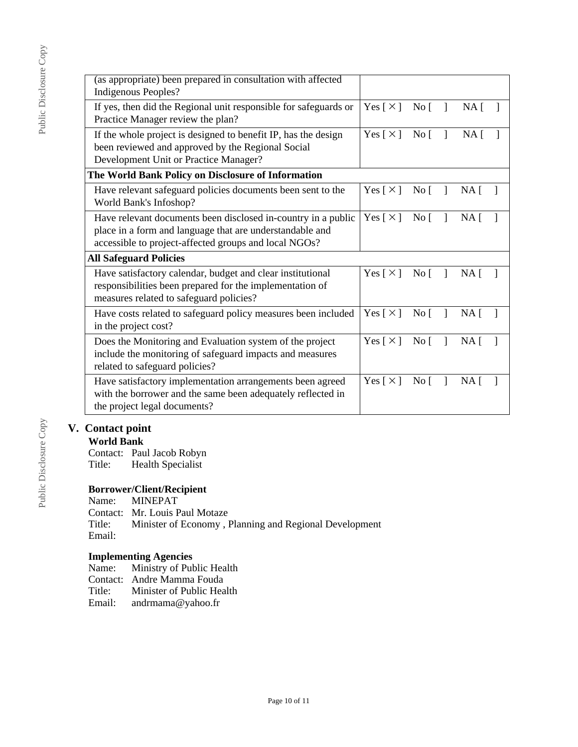| (as appropriate) been prepared in consultation with affected<br>Indigenous Peoples?                                                                                                |                            |                  |              |                 |  |
|------------------------------------------------------------------------------------------------------------------------------------------------------------------------------------|----------------------------|------------------|--------------|-----------------|--|
| If yes, then did the Regional unit responsible for safeguards or<br>Practice Manager review the plan?                                                                              | $Yes [ \times ] No [ ]$    |                  |              | NA <sub>1</sub> |  |
| If the whole project is designed to benefit IP, has the design<br>been reviewed and approved by the Regional Social<br>Development Unit or Practice Manager?                       | $Yes [ \times ] No [ ]$    |                  |              | NA <sub>1</sub> |  |
| The World Bank Policy on Disclosure of Information                                                                                                                                 |                            |                  |              |                 |  |
| Have relevant safeguard policies documents been sent to the<br>World Bank's Infoshop?                                                                                              | Yes $\lceil \times \rceil$ | $\overline{N}$ o | $\mathbf{1}$ | NA <sub>1</sub> |  |
| Have relevant documents been disclosed in-country in a public<br>place in a form and language that are understandable and<br>accessible to project-affected groups and local NGOs? | Yes $[\times]$ No $[\ ]$   |                  |              | $NA \lceil$     |  |
| <b>All Safeguard Policies</b>                                                                                                                                                      |                            |                  |              |                 |  |
| Have satisfactory calendar, budget and clear institutional<br>responsibilities been prepared for the implementation of<br>measures related to safeguard policies?                  | Yes [ $\times$ ]           | $\overline{N_0}$ |              | NA [            |  |
| Have costs related to safeguard policy measures been included<br>in the project cost?                                                                                              | Yes $\lceil \times \rceil$ | $\overline{N}$ o |              | NA <sub>1</sub> |  |
| Does the Monitoring and Evaluation system of the project<br>include the monitoring of safeguard impacts and measures<br>related to safeguard policies?                             | Yes $\lceil \times \rceil$ | $\overline{N}$ o |              | NA <sub>1</sub> |  |
| Have satisfactory implementation arrangements been agreed<br>with the borrower and the same been adequately reflected in<br>the project legal documents?                           | Yes [ $\times$ ]           | $\text{No}$ [ ]  |              | NA <sub>1</sub> |  |

## **V. Contact point**

#### **World Bank**

Contact: Paul Jacob Robyn Title: Health Specialist

# **Borrower/Client/Recipient**

**MINEPAT** 

Contact: Mr. Louis Paul Motaze<br>Title: Minister of Economy, 1

Minister of Economy , Planning and Regional Development Email:

#### **Implementing Agencies**

Name: Ministry of Public Health Contact: Andre Mamma Fouda<br>Title: Minister of Public Hea Title: Minister of Public Health<br>Email: andrmama@yahoo.fr andrmama@yahoo.fr